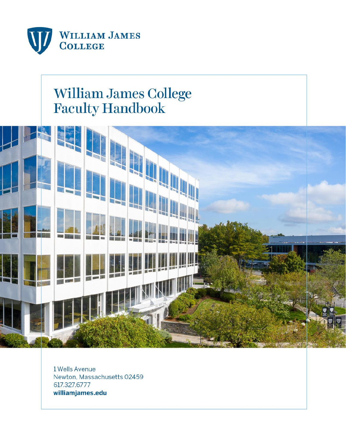

# William James College<br>Faculty Handbook



1 Wells Avenue Newton, Massachusetts 02459 617.327.6777 williamjames.edu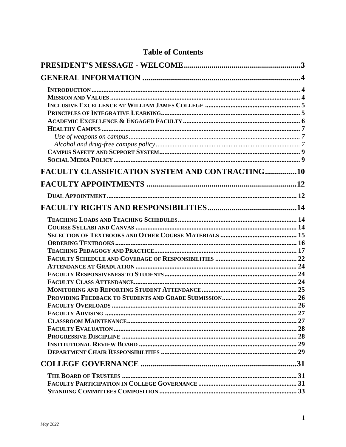| <b>FACULTY CLASSIFICATION SYSTEM AND CONTRACTING10</b> |
|--------------------------------------------------------|
|                                                        |
|                                                        |
|                                                        |
|                                                        |
|                                                        |

# **Table of Contents**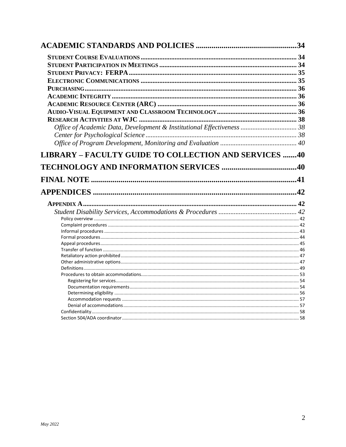| Office of Academic Data, Development & Institutional Effectiveness  38 |    |
|------------------------------------------------------------------------|----|
|                                                                        |    |
|                                                                        |    |
| LIBRARY - FACULTY GUIDE TO COLLECTION AND SERVICES 40                  |    |
|                                                                        |    |
|                                                                        | 41 |
|                                                                        | 42 |
|                                                                        |    |
|                                                                        |    |
|                                                                        |    |
|                                                                        |    |
|                                                                        |    |
|                                                                        |    |
|                                                                        |    |
|                                                                        |    |
|                                                                        |    |
|                                                                        |    |
|                                                                        |    |
|                                                                        |    |
|                                                                        |    |
|                                                                        |    |
|                                                                        |    |
|                                                                        |    |
|                                                                        |    |
|                                                                        |    |
|                                                                        |    |
|                                                                        |    |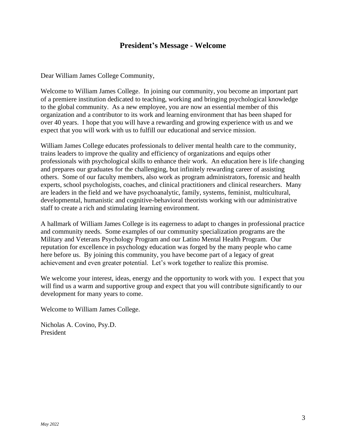# **President's Message - Welcome**

<span id="page-3-0"></span>Dear William James College Community,

Welcome to William James College. In joining our community, you become an important part of a premiere institution dedicated to teaching, working and bringing psychological knowledge to the global community. As a new employee, you are now an essential member of this organization and a contributor to its work and learning environment that has been shaped for over 40 years. I hope that you will have a rewarding and growing experience with us and we expect that you will work with us to fulfill our educational and service mission.

William James College educates professionals to deliver mental health care to the community, trains leaders to improve the quality and efficiency of organizations and equips other professionals with psychological skills to enhance their work. An education here is life changing and prepares our graduates for the challenging, but infinitely rewarding career of assisting others. Some of our faculty members, also work as program administrators, forensic and health experts, school psychologists, coaches, and clinical practitioners and clinical researchers. Many are leaders in the field and we have psychoanalytic, family, systems, feminist, multicultural, developmental, humanistic and cognitive-behavioral theorists working with our administrative staff to create a rich and stimulating learning environment.

A hallmark of William James College is its eagerness to adapt to changes in professional practice and community needs. Some examples of our community specialization programs are the Military and Veterans Psychology Program and our Latino Mental Health Program. Our reputation for excellence in psychology education was forged by the many people who came here before us. By joining this community, you have become part of a legacy of great achievement and even greater potential. Let's work together to realize this promise.

We welcome your interest, ideas, energy and the opportunity to work with you. I expect that you will find us a warm and supportive group and expect that you will contribute significantly to our development for many years to come.

Welcome to William James College.

Nicholas A. Covino, Psy.D. President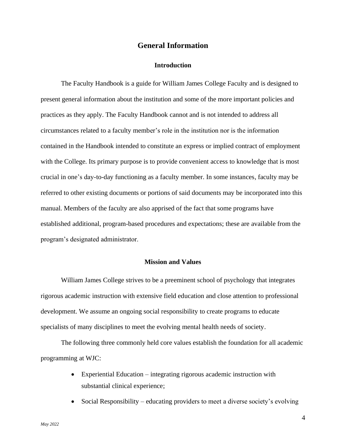## **General Information**

## **Introduction**

<span id="page-4-1"></span><span id="page-4-0"></span>The Faculty Handbook is a guide for William James College Faculty and is designed to present general information about the institution and some of the more important policies and practices as they apply. The Faculty Handbook cannot and is not intended to address all circumstances related to a faculty member's role in the institution nor is the information contained in the Handbook intended to constitute an express or implied contract of employment with the College. Its primary purpose is to provide convenient access to knowledge that is most crucial in one's day-to-day functioning as a faculty member. In some instances, faculty may be referred to other existing documents or portions of said documents may be incorporated into this manual. Members of the faculty are also apprised of the fact that some programs have established additional, program-based procedures and expectations; these are available from the program's designated administrator.

## **Mission and Values**

<span id="page-4-2"></span>William James College strives to be a preeminent school of psychology that integrates rigorous academic instruction with extensive field education and close attention to professional development. We assume an ongoing social responsibility to create programs to educate specialists of many disciplines to meet the evolving mental health needs of society.

The following three commonly held core values establish the foundation for all academic programming at WJC:

- Experiential Education integrating rigorous academic instruction with substantial clinical experience;
- Social Responsibility educating providers to meet a diverse society's evolving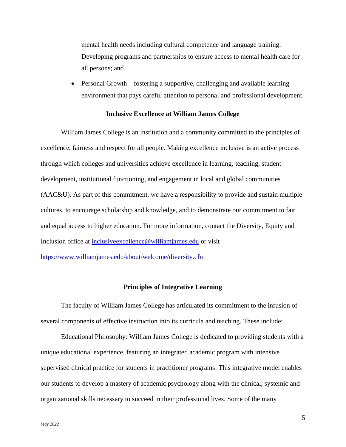mental health needs including cultural competence and language training. Developing programs and partnerships to ensure access to mental health care for all persons; and

• Personal Growth – fostering a supportive, challenging and available learning environment that pays careful attention to personal and professional development.

#### **Inclusive Excellence at William James College**

<span id="page-5-0"></span>William James College is an institution and a community committed to the principles of excellence, fairness and respect for all people. Making excellence inclusive is an active process through which colleges and universities achieve excellence in learning, teaching, student development, institutional functioning, and engagement in local and global communities (AAC&U). As part of this commitment, we have a responsibility to provide and sustain multiple cultures, to encourage scholarship and knowledge, and to demonstrate our commitment to fair and equal access to higher education. For more information, contact the Diversity, Equity and Inclusion office at [inclusiveexcellence@williamjames.edu](mailto:inclusiveexcellence@williamjames.edu) or visit

<span id="page-5-1"></span><https://www.williamjames.edu/about/welcome/diversity.cfm>

## **Principles of Integrative Learning**

The faculty of William James College has articulated its commitment to the infusion of several components of effective instruction into its curricula and teaching. These include:

Educational Philosophy: William James College is dedicated to providing students with a unique educational experience, featuring an integrated academic program with intensive supervised clinical practice for students in practitioner programs. This integrative model enables our students to develop a mastery of academic psychology along with the clinical, systemic and organizational skills necessary to succeed in their professional lives. Some of the many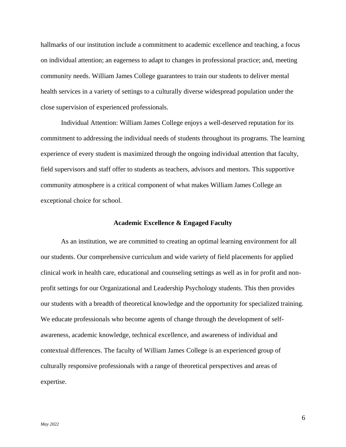hallmarks of our institution include a commitment to academic excellence and teaching, a focus on individual attention; an eagerness to adapt to changes in professional practice; and, meeting community needs. William James College guarantees to train our students to deliver mental health services in a variety of settings to a culturally diverse widespread population under the close supervision of experienced professionals.

Individual Attention: William James College enjoys a well-deserved reputation for its commitment to addressing the individual needs of students throughout its programs. The learning experience of every student is maximized through the ongoing individual attention that faculty, field supervisors and staff offer to students as teachers, advisors and mentors. This supportive community atmosphere is a critical component of what makes William James College an exceptional choice for school.

#### **Academic Excellence & Engaged Faculty**

<span id="page-6-0"></span>As an institution, we are committed to creating an optimal learning environment for all our students. Our comprehensive curriculum and wide variety of field placements for applied clinical work in health care, educational and counseling settings as well as in for profit and nonprofit settings for our Organizational and Leadership Psychology students. This then provides our students with a breadth of theoretical knowledge and the opportunity for specialized training. We educate professionals who become agents of change through the development of selfawareness, academic knowledge, technical excellence, and awareness of individual and contextual differences. The faculty of William James College is an experienced group of culturally responsive professionals with a range of theoretical perspectives and areas of expertise.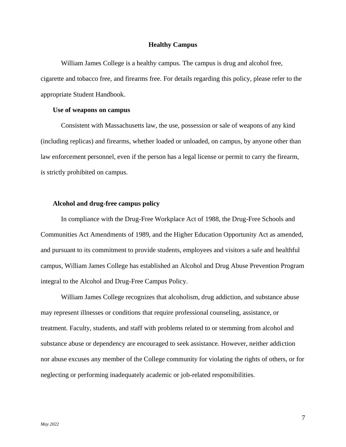#### **Healthy Campus**

<span id="page-7-0"></span>William James College is a healthy campus. The campus is drug and alcohol free, cigarette and tobacco free, and firearms free. For details regarding this policy, please refer to the appropriate Student Handbook.

#### <span id="page-7-1"></span>**Use of weapons on campus**

Consistent with Massachusetts law, the use, possession or sale of weapons of any kind (including replicas) and firearms, whether loaded or unloaded, on campus, by anyone other than law enforcement personnel, even if the person has a legal license or permit to carry the firearm, is strictly prohibited on campus.

## <span id="page-7-2"></span>**Alcohol and drug-free campus policy**

In compliance with the Drug-Free Workplace Act of 1988, the Drug-Free Schools and Communities Act Amendments of 1989, and the Higher Education Opportunity Act as amended, and pursuant to its commitment to provide students, employees and visitors a safe and healthful campus, William James College has established an Alcohol and Drug Abuse Prevention Program integral to the Alcohol and Drug-Free Campus Policy.

William James College recognizes that alcoholism, drug addiction, and substance abuse may represent illnesses or conditions that require professional counseling, assistance, or treatment. Faculty, students, and staff with problems related to or stemming from alcohol and substance abuse or dependency are encouraged to seek assistance. However, neither addiction nor abuse excuses any member of the College community for violating the rights of others, or for neglecting or performing inadequately academic or job-related responsibilities.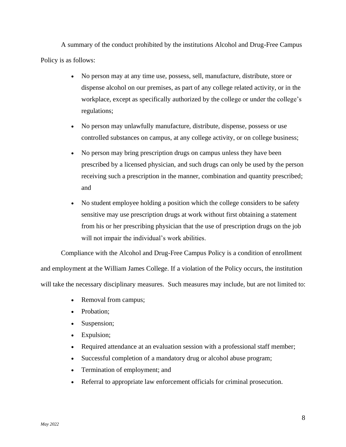A summary of the conduct prohibited by the institutions Alcohol and Drug-Free Campus Policy is as follows:

- No person may at any time use, possess, sell, manufacture, distribute, store or dispense alcohol on our premises, as part of any college related activity, or in the workplace, except as specifically authorized by the college or under the college's regulations;
- No person may unlawfully manufacture, distribute, dispense, possess or use controlled substances on campus, at any college activity, or on college business;
- No person may bring prescription drugs on campus unless they have been prescribed by a licensed physician, and such drugs can only be used by the person receiving such a prescription in the manner, combination and quantity prescribed; and
- No student employee holding a position which the college considers to be safety sensitive may use prescription drugs at work without first obtaining a statement from his or her prescribing physician that the use of prescription drugs on the job will not impair the individual's work abilities.

Compliance with the Alcohol and Drug-Free Campus Policy is a condition of enrollment and employment at the William James College. If a violation of the Policy occurs, the institution will take the necessary disciplinary measures. Such measures may include, but are not limited to:

- Removal from campus;
- Probation:
- Suspension;
- Expulsion;
- Required attendance at an evaluation session with a professional staff member;
- Successful completion of a mandatory drug or alcohol abuse program;
- Termination of employment; and
- Referral to appropriate law enforcement officials for criminal prosecution.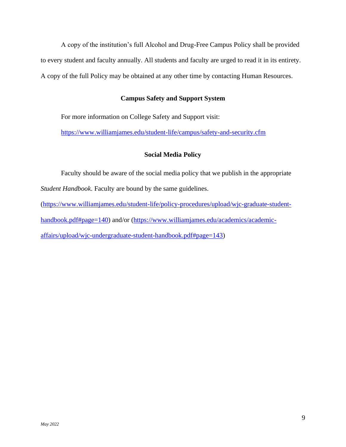A copy of the institution's full Alcohol and Drug-Free Campus Policy shall be provided to every student and faculty annually. All students and faculty are urged to read it in its entirety. A copy of the full Policy may be obtained at any other time by contacting Human Resources.

## **Campus Safety and Support System**

<span id="page-9-0"></span>For more information on College Safety and Support visit:

<span id="page-9-1"></span><https://www.williamjames.edu/student-life/campus/safety-and-security.cfm>

## **Social Media Policy**

Faculty should be aware of the social media policy that we publish in the appropriate *Student Handbook*. Faculty are bound by the same guidelines.

[\(https://www.williamjames.edu/student-life/policy-procedures/upload/wjc-graduate-student](https://www.williamjames.edu/student-life/policy-procedures/upload/wjc-graduate-student-handbook.pdf#page=140)[handbook.pdf#page=140\)](https://www.williamjames.edu/student-life/policy-procedures/upload/wjc-graduate-student-handbook.pdf#page=140) and/or [\(https://www.williamjames.edu/academics/academic](https://www.williamjames.edu/academics/academic-affairs/upload/wjc-undergraduate-student-handbook.pdf#page=143)[affairs/upload/wjc-undergraduate-student-handbook.pdf#page=143\)](https://www.williamjames.edu/academics/academic-affairs/upload/wjc-undergraduate-student-handbook.pdf#page=143)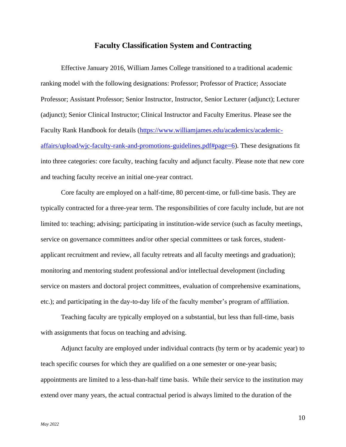## **Faculty Classification System and Contracting**

<span id="page-10-0"></span>Effective January 2016, William James College transitioned to a traditional academic ranking model with the following designations: Professor; Professor of Practice; Associate Professor; Assistant Professor; Senior Instructor, Instructor, Senior Lecturer (adjunct); Lecturer (adjunct); Senior Clinical Instructor; Clinical Instructor and Faculty Emeritus. Please see the Faculty Rank Handbook for details [\(https://www.williamjames.edu/academics/academic](https://www.williamjames.edu/academics/academic-affairs/upload/wjc-faculty-rank-and-promotions-guidelines.pdf#page=6)[affairs/upload/wjc-faculty-rank-and-promotions-guidelines.pdf#page=6\)](https://www.williamjames.edu/academics/academic-affairs/upload/wjc-faculty-rank-and-promotions-guidelines.pdf#page=6). These designations fit into three categories: core faculty, teaching faculty and adjunct faculty. Please note that new core and teaching faculty receive an initial one-year contract.

Core faculty are employed on a half-time, 80 percent-time, or full-time basis. They are typically contracted for a three-year term. The responsibilities of core faculty include, but are not limited to: teaching; advising; participating in institution-wide service (such as faculty meetings, service on governance committees and/or other special committees or task forces, studentapplicant recruitment and review, all faculty retreats and all faculty meetings and graduation); monitoring and mentoring student professional and/or intellectual development (including service on masters and doctoral project committees, evaluation of comprehensive examinations, etc.); and participating in the day-to-day life of the faculty member's program of affiliation.

Teaching faculty are typically employed on a substantial, but less than full-time, basis with assignments that focus on teaching and advising.

Adjunct faculty are employed under individual contracts (by term or by academic year) to teach specific courses for which they are qualified on a one semester or one-year basis; appointments are limited to a less-than-half time basis. While their service to the institution may extend over many years, the actual contractual period is always limited to the duration of the

10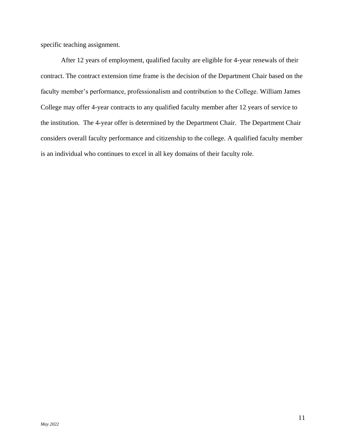specific teaching assignment.

After 12 years of employment, qualified faculty are eligible for 4-year renewals of their contract. The contract extension time frame is the decision of the Department Chair based on the faculty member's performance, professionalism and contribution to the College. William James College may offer 4-year contracts to any qualified faculty member after 12 years of service to the institution. The 4-year offer is determined by the Department Chair. The Department Chair considers overall faculty performance and citizenship to the college. A qualified faculty member is an individual who continues to excel in all key domains of their faculty role.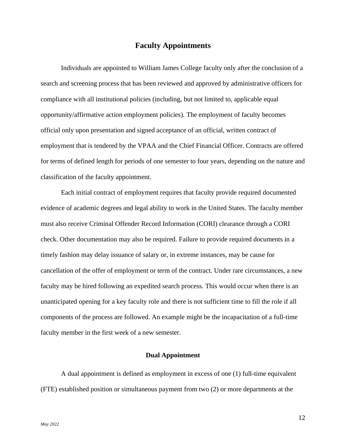## **Faculty Appointments**

<span id="page-12-0"></span>Individuals are appointed to William James College faculty only after the conclusion of a search and screening process that has been reviewed and approved by administrative officers for compliance with all institutional policies (including, but not limited to, applicable equal opportunity/affirmative action employment policies). The employment of faculty becomes official only upon presentation and signed acceptance of an official, written contract of employment that is tendered by the VPAA and the Chief Financial Officer. Contracts are offered for terms of defined length for periods of one semester to four years, depending on the nature and classification of the faculty appointment.

Each initial contract of employment requires that faculty provide required documented evidence of academic degrees and legal ability to work in the United States. The faculty member must also receive Criminal Offender Record Information (CORI) clearance through a CORI check. Other documentation may also be required. Failure to provide required documents in a timely fashion may delay issuance of salary or, in extreme instances, may be cause for cancellation of the offer of employment or term of the contract. Under rare circumstances, a new faculty may be hired following an expedited search process. This would occur when there is an unanticipated opening for a key faculty role and there is not sufficient time to fill the role if all components of the process are followed. An example might be the incapacitation of a full-time faculty member in the first week of a new semester.

### **Dual Appointment**

<span id="page-12-1"></span>A dual appointment is defined as employment in excess of one (1) full-time equivalent (FTE) established position or simultaneous payment from two (2) or more departments at the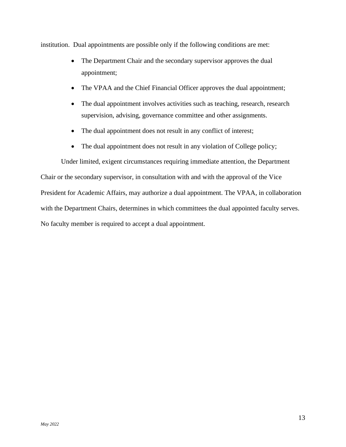institution. Dual appointments are possible only if the following conditions are met:

- The Department Chair and the secondary supervisor approves the dual appointment;
- The VPAA and the Chief Financial Officer approves the dual appointment;
- The dual appointment involves activities such as teaching, research, research supervision, advising, governance committee and other assignments.
- The dual appointment does not result in any conflict of interest;
- The dual appointment does not result in any violation of College policy;

Under limited, exigent circumstances requiring immediate attention, the Department Chair or the secondary supervisor, in consultation with and with the approval of the Vice President for Academic Affairs, may authorize a dual appointment. The VPAA, in collaboration with the Department Chairs, determines in which committees the dual appointed faculty serves. No faculty member is required to accept a dual appointment.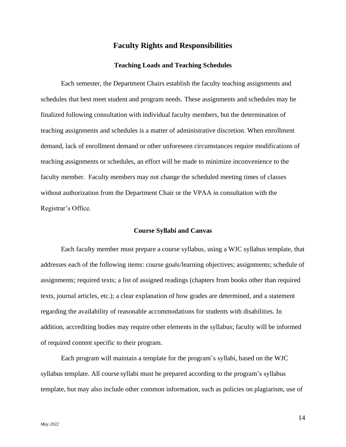## **Faculty Rights and Responsibilities**

## **Teaching Loads and Teaching Schedules**

<span id="page-14-1"></span><span id="page-14-0"></span>Each semester, the Department Chairs establish the faculty teaching assignments and schedules that best meet student and program needs. These assignments and schedules may be finalized following consultation with individual faculty members, but the determination of teaching assignments and schedules is a matter of administrative discretion. When enrollment demand, lack of enrollment demand or other unforeseen circumstances require modifications of teaching assignments or schedules, an effort will be made to minimize inconvenience to the faculty member. Faculty members may not change the scheduled meeting times of classes without authorization from the Department Chair or the VPAA in consultation with the Registrar's Office.

#### **Course Syllabi and Canvas**

<span id="page-14-2"></span>Each faculty member must prepare a course syllabus, using a WJC syllabus template, that addresses each of the following items: course goals/learning objectives; assignments; schedule of assignments; required texts; a list of assigned readings (chapters from books other than required texts, journal articles, etc.); a clear explanation of how grades are determined, and a statement regarding the availability of reasonable accommodations for students with disabilities. In addition, accrediting bodies may require other elements in the syllabus; faculty will be informed of required content specific to their program.

Each program will maintain a template for the program's syllabi, based on the WJC syllabus template. All course syllabi must be prepared according to the program's syllabus template, but may also include other common information, such as policies on plagiarism, use of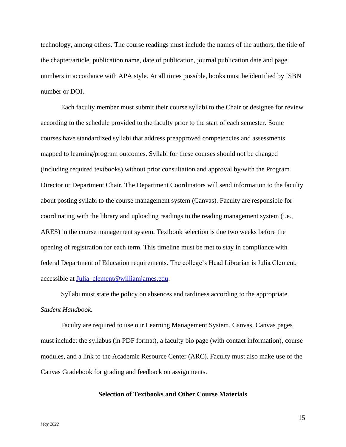technology, among others. The course readings must include the names of the authors, the title of the chapter/article, publication name, date of publication, journal publication date and page numbers in accordance with APA style. At all times possible, books must be identified by ISBN number or DOI.

Each faculty member must submit their course syllabi to the Chair or designee for review according to the schedule provided to the faculty prior to the start of each semester. Some courses have standardized syllabi that address preapproved competencies and assessments mapped to learning/program outcomes. Syllabi for these courses should not be changed (including required textbooks) without prior consultation and approval by/with the Program Director or Department Chair. The Department Coordinators will send information to the faculty about posting syllabi to the course management system (Canvas). Faculty are responsible for coordinating with the library and uploading readings to the reading management system (i.e., ARES) in the course management system. Textbook selection is due two weeks before the opening of registration for each term. This timeline must be met to stay in compliance with federal Department of Education requirements. The college's Head Librarian is Julia Clement, accessible at [Julia\\_clement@williamjames.edu.](mailto:Julia_clement@williamjames.edu)

Syllabi must state the policy on absences and tardiness according to the appropriate *Student Handbook*.

Faculty are required to use our Learning Management System, Canvas. Canvas pages must include: the syllabus (in PDF format), a faculty bio page (with contact information), course modules, and a link to the Academic Resource Center (ARC). Faculty must also make use of the Canvas Gradebook for grading and feedback on assignments.

## <span id="page-15-0"></span>**Selection of Textbooks and Other Course Materials**

15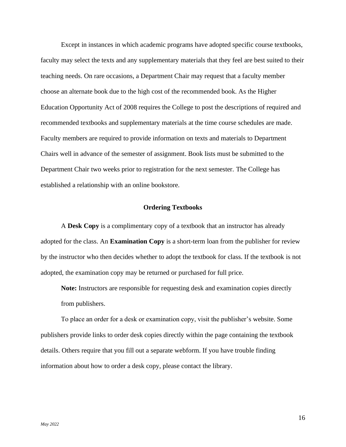Except in instances in which academic programs have adopted specific course textbooks, faculty may select the texts and any supplementary materials that they feel are best suited to their teaching needs. On rare occasions, a Department Chair may request that a faculty member choose an alternate book due to the high cost of the recommended book. As the Higher Education Opportunity Act of 2008 requires the College to post the descriptions of required and recommended textbooks and supplementary materials at the time course schedules are made. Faculty members are required to provide information on texts and materials to Department Chairs well in advance of the semester of assignment. Book lists must be submitted to the Department Chair two weeks prior to registration for the next semester. The College has established a relationship with an online bookstore.

#### **Ordering Textbooks**

<span id="page-16-0"></span>A **Desk Copy** is a complimentary copy of a textbook that an instructor has already adopted for the class. An **Examination Copy** is a short-term loan from the publisher for review by the instructor who then decides whether to adopt the textbook for class. If the textbook is not adopted, the examination copy may be returned or purchased for full price.

**Note:** Instructors are responsible for requesting desk and examination copies directly from publishers.

To place an order for a desk or examination copy, visit the publisher's website. Some publishers provide links to order desk copies directly within the page containing the textbook details. Others require that you fill out a separate webform. If you have trouble finding information about how to order a desk copy, please contact the library.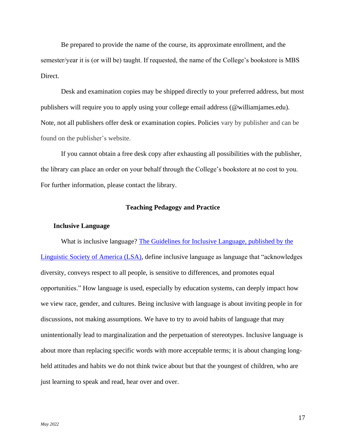Be prepared to provide the name of the course, its approximate enrollment, and the semester/year it is (or will be) taught. If requested, the name of the College's bookstore is MBS Direct.

Desk and examination copies may be shipped directly to your preferred address, but most publishers will require you to apply using your college email address (@williamjames.edu). Note, not all publishers offer desk or examination copies. Policies vary by publisher and can be found on the publisher's website.

If you cannot obtain a free desk copy after exhausting all possibilities with the publisher, the library can place an order on your behalf through the College's bookstore at no cost to you. For further information, please contact the library.

#### **Teaching Pedagogy and Practice**

#### <span id="page-17-0"></span>**Inclusive Language**

What is inclusive language? [The Guidelines for Inclusive Language, published by the](https://www.linguisticsociety.org/resource/guidelines-inclusive-language)  [Linguistic Society of America \(LSA\),](https://www.linguisticsociety.org/resource/guidelines-inclusive-language) define inclusive language as language that "acknowledges diversity, conveys respect to all people, is sensitive to differences, and promotes equal opportunities." How language is used, especially by education systems, can deeply impact how we view race, gender, and cultures. Being inclusive with language is about inviting people in for discussions, not making assumptions. We have to try to avoid habits of language that may unintentionally lead to marginalization and the perpetuation of stereotypes. Inclusive language is about more than replacing specific words with more acceptable terms; it is about changing longheld attitudes and habits we do not think twice about but that the youngest of children, who are just learning to speak and read, hear over and over.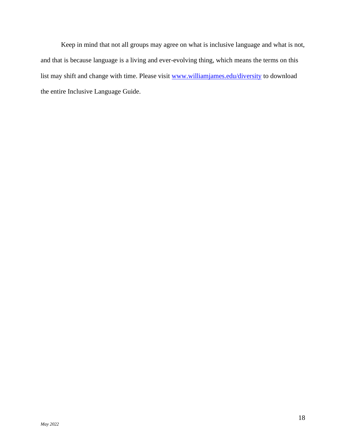Keep in mind that not all groups may agree on what is inclusive language and what is not, and that is because language is a living and ever-evolving thing, which means the terms on this list may shift and change with time. Please visit [www.williamjames.edu/diversity](http://www.williamjames.edu/diversity) to download the entire Inclusive Language Guide.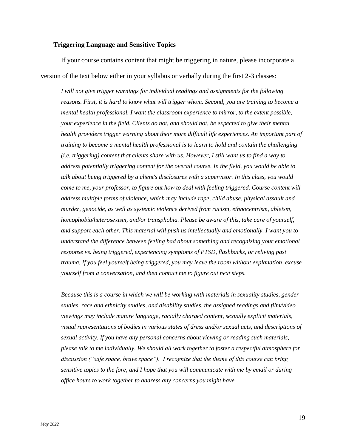## **Triggering Language and Sensitive Topics**

If your course contains content that might be triggering in nature, please incorporate a version of the text below either in your syllabus or verbally during the first 2-3 classes:

*I will not give trigger warnings for individual readings and assignments for the following reasons. First, it is hard to know what will trigger whom. Second, you are training to become a mental health professional. I want the classroom experience to mirror, to the extent possible, your experience in the field. Clients do not, and should not, be expected to give their mental health providers trigger warning about their more difficult life experiences. An important part of training to become a mental health professional is to learn to hold and contain the challenging (i.e. triggering) content that clients share with us. However, I still want us to find a way to address potentially triggering content for the overall course. In the field, you would be able to talk about being triggered by a client's disclosures with a supervisor. In this class, you would come to me, your professor, to figure out how to deal with feeling triggered. Course content will address multiple forms of violence, which may include rape, child abuse, physical assault and murder, genocide, as well as systemic violence derived from racism, ethnocentrism, ableism, homophobia/heterosexism, and/or transphobia. Please be aware of this, take care of yourself, and support each other. This material will push us intellectually and emotionally. I want you to understand the difference between feeling bad about something and recognizing your emotional response vs. being triggered, experiencing symptoms of PTSD, flashbacks, or reliving past trauma. If you feel yourself being triggered, you may leave the room without explanation, excuse yourself from a conversation, and then contact me to figure out next steps.*

*Because this is a course in which we will be working with materials in sexuality studies, gender studies, race and ethnicity studies, and disability studies, the assigned readings and film/video viewings may include mature language, racially charged content, sexually explicit materials, visual representations of bodies in various states of dress and/or sexual acts, and descriptions of sexual activity. If you have any personal concerns about viewing or reading such materials, please talk to me individually. We should all work together to foster a respectful atmosphere for discussion ("safe space, brave space"). I recognize that the theme of this course can bring sensitive topics to the fore, and I hope that you will communicate with me by email or during office hours to work together to address any concerns you might have.*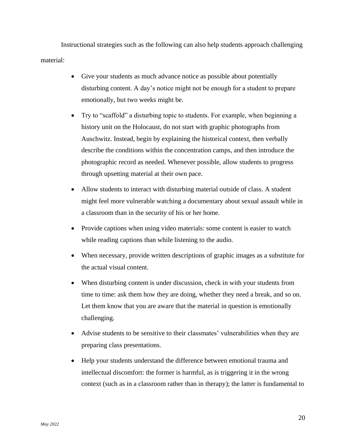Instructional strategies such as the following can also help students approach challenging material:

- Give your students as much advance notice as possible about potentially disturbing content. A day's notice might not be enough for a student to prepare emotionally, but two weeks might be.
- Try to "scaffold" a disturbing topic to students. For example, when beginning a history unit on the Holocaust, do not start with graphic photographs from Auschwitz. Instead, begin by explaining the historical context, then verbally describe the conditions within the concentration camps, and then introduce the photographic record as needed. Whenever possible, allow students to progress through upsetting material at their own pace.
- Allow students to interact with disturbing material outside of class. A student might feel more vulnerable watching a documentary about sexual assault while in a classroom than in the security of his or her home.
- Provide captions when using video materials: some content is easier to watch while reading captions than while listening to the audio.
- When necessary, provide written descriptions of graphic images as a substitute for the actual visual content.
- When disturbing content is under discussion, check in with your students from time to time: ask them how they are doing, whether they need a break, and so on. Let them know that you are aware that the material in question is emotionally challenging.
- Advise students to be sensitive to their classmates' vulnerabilities when they are preparing class presentations.
- Help your students understand the difference between emotional trauma and intellectual discomfort: the former is harmful, as is triggering it in the wrong context (such as in a classroom rather than in therapy); the latter is fundamental to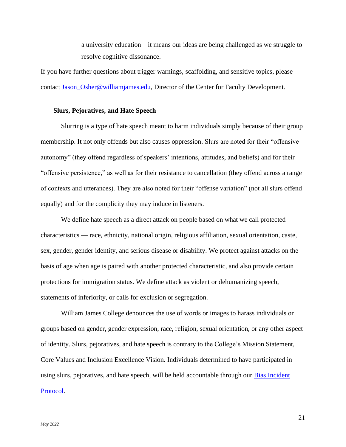a university education – it means our ideas are being challenged as we struggle to resolve cognitive dissonance.

If you have further questions about trigger warnings, scaffolding, and sensitive topics, please contact Jason Osher@williamjames.edu, Director of the Center for Faculty Development.

#### **Slurs, Pejoratives, and Hate Speech**

Slurring is a type of hate speech meant to harm individuals simply because of their group membership. It not only offends but also causes oppression. Slurs are noted for their "offensive autonomy" (they offend regardless of speakers' intentions, attitudes, and beliefs) and for their "offensive persistence," as well as for their resistance to cancellation (they offend across a range of contexts and utterances). They are also noted for their "offense variation" (not all slurs offend equally) and for the complicity they may induce in listeners.

We define hate speech as a direct attack on people based on what we call protected characteristics — race, ethnicity, national origin, religious affiliation, sexual orientation, caste, sex, gender, gender identity, and serious disease or disability. We protect against attacks on the basis of age when age is paired with another protected characteristic, and also provide certain protections for immigration status. We define attack as violent or dehumanizing speech, statements of inferiority, or calls for exclusion or segregation.

William James College denounces the use of words or images to harass individuals or groups based on gender, gender expression, race, religion, sexual orientation, or any other aspect of identity. Slurs, pejoratives, and hate speech is contrary to the College's Mission Statement, Core Values and Inclusion Excellence Vision. Individuals determined to have participated in using slurs, pejoratives, and hate speech, will be held accountable through our **Bias Incident** [Protocol.](https://www.williamjames.edu/about/welcome/bias-incident-protocol.cfm)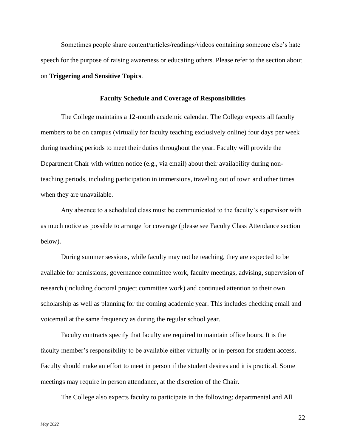Sometimes people share content/articles/readings/videos containing someone else's hate speech for the purpose of raising awareness or educating others. Please refer to the section about on **Triggering and Sensitive Topics**.

#### **Faculty Schedule and Coverage of Responsibilities**

<span id="page-22-0"></span>The College maintains a 12-month academic calendar. The College expects all faculty members to be on campus (virtually for faculty teaching exclusively online) four days per week during teaching periods to meet their duties throughout the year. Faculty will provide the Department Chair with written notice (e.g., via email) about their availability during nonteaching periods, including participation in immersions, traveling out of town and other times when they are unavailable.

Any absence to a scheduled class must be communicated to the faculty's supervisor with as much notice as possible to arrange for coverage (please see Faculty Class Attendance section below).

During summer sessions, while faculty may not be teaching, they are expected to be available for admissions, governance committee work, faculty meetings, advising, supervision of research (including doctoral project committee work) and continued attention to their own scholarship as well as planning for the coming academic year. This includes checking email and voicemail at the same frequency as during the regular school year.

Faculty contracts specify that faculty are required to maintain office hours. It is the faculty member's responsibility to be available either virtually or in-person for student access. Faculty should make an effort to meet in person if the student desires and it is practical. Some meetings may require in person attendance, at the discretion of the Chair.

The College also expects faculty to participate in the following: departmental and All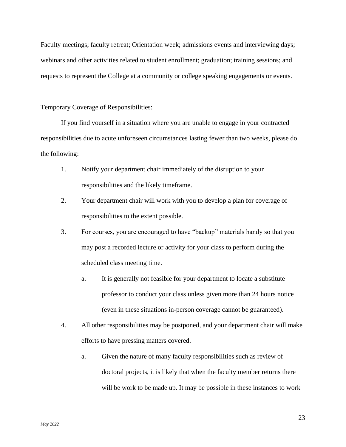Faculty meetings; faculty retreat; Orientation week; admissions events and interviewing days; webinars and other activities related to student enrollment; graduation; training sessions; and requests to represent the College at a community or college speaking engagements or events.

## Temporary Coverage of Responsibilities:

If you find yourself in a situation where you are unable to engage in your contracted responsibilities due to acute unforeseen circumstances lasting fewer than two weeks, please do the following:

- 1. Notify your department chair immediately of the disruption to your responsibilities and the likely timeframe.
- 2. Your department chair will work with you to develop a plan for coverage of responsibilities to the extent possible.
- 3. For courses, you are encouraged to have "backup" materials handy so that you may post a recorded lecture or activity for your class to perform during the scheduled class meeting time.
	- a. It is generally not feasible for your department to locate a substitute professor to conduct your class unless given more than 24 hours notice (even in these situations in-person coverage cannot be guaranteed).
- 4. All other responsibilities may be postponed, and your department chair will make efforts to have pressing matters covered.
	- a. Given the nature of many faculty responsibilities such as review of doctoral projects, it is likely that when the faculty member returns there will be work to be made up. It may be possible in these instances to work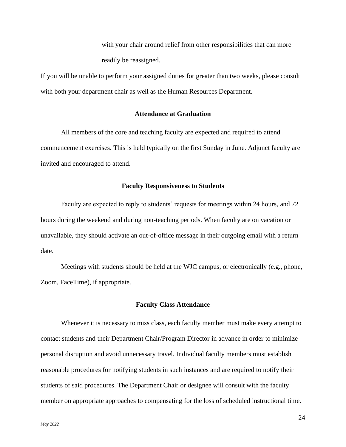with your chair around relief from other responsibilities that can more readily be reassigned.

If you will be unable to perform your assigned duties for greater than two weeks, please consult with both your department chair as well as the Human Resources Department.

#### **Attendance at Graduation**

<span id="page-24-0"></span>All members of the core and teaching faculty are expected and required to attend commencement exercises. This is held typically on the first Sunday in June. Adjunct faculty are invited and encouraged to attend.

## **Faculty Responsiveness to Students**

<span id="page-24-1"></span>Faculty are expected to reply to students' requests for meetings within 24 hours, and 72 hours during the weekend and during non-teaching periods. When faculty are on vacation or unavailable, they should activate an out-of-office message in their outgoing email with a return date.

Meetings with students should be held at the WJC campus, or electronically (e.g., phone, Zoom, FaceTime), if appropriate.

#### **Faculty Class Attendance**

<span id="page-24-2"></span>Whenever it is necessary to miss class, each faculty member must make every attempt to contact students and their Department Chair/Program Director in advance in order to minimize personal disruption and avoid unnecessary travel. Individual faculty members must establish reasonable procedures for notifying students in such instances and are required to notify their students of said procedures. The Department Chair or designee will consult with the faculty member on appropriate approaches to compensating for the loss of scheduled instructional time.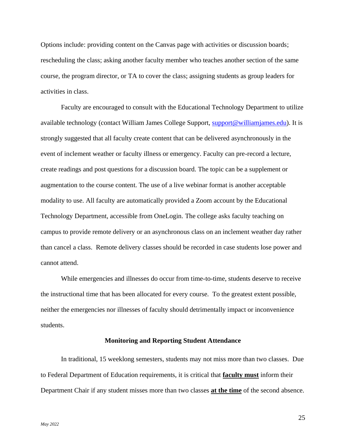Options include: providing content on the Canvas page with activities or discussion boards; rescheduling the class; asking another faculty member who teaches another section of the same course, the program director, or TA to cover the class; assigning students as group leaders for activities in class.

Faculty are encouraged to consult with the Educational Technology Department to utilize available technology (contact William James College Support, [support@williamjames.edu\)](mailto:support@williamjames.edu). It is strongly suggested that all faculty create content that can be delivered asynchronously in the event of inclement weather or faculty illness or emergency. Faculty can pre-record a lecture, create readings and post questions for a discussion board. The topic can be a supplement or augmentation to the course content. The use of a live webinar format is another acceptable modality to use. All faculty are automatically provided a Zoom account by the Educational Technology Department, accessible from OneLogin. The college asks faculty teaching on campus to provide remote delivery or an asynchronous class on an inclement weather day rather than cancel a class. Remote delivery classes should be recorded in case students lose power and cannot attend.

While emergencies and illnesses do occur from time-to-time, students deserve to receive the instructional time that has been allocated for every course. To the greatest extent possible, neither the emergencies nor illnesses of faculty should detrimentally impact or inconvenience students.

#### **Monitoring and Reporting Student Attendance**

<span id="page-25-0"></span>In traditional, 15 weeklong semesters, students may not miss more than two classes. Due to Federal Department of Education requirements, it is critical that **faculty must** inform their Department Chair if any student misses more than two classes **at the time** of the second absence.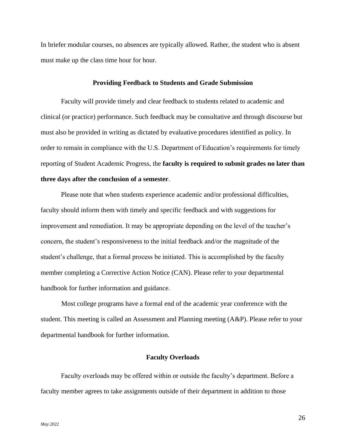In briefer modular courses, no absences are typically allowed. Rather, the student who is absent must make up the class time hour for hour.

#### **Providing Feedback to Students and Grade Submission**

<span id="page-26-0"></span>Faculty will provide timely and clear feedback to students related to academic and clinical (or practice) performance. Such feedback may be consultative and through discourse but must also be provided in writing as dictated by evaluative procedures identified as policy. In order to remain in compliance with the U.S. Department of Education's requirements for timely reporting of Student Academic Progress, the **faculty is required to submit grades no later than three days after the conclusion of a semester**.

Please note that when students experience academic and/or professional difficulties, faculty should inform them with timely and specific feedback and with suggestions for improvement and remediation. It may be appropriate depending on the level of the teacher's concern, the student's responsiveness to the initial feedback and/or the magnitude of the student's challenge, that a formal process be initiated. This is accomplished by the faculty member completing a Corrective Action Notice (CAN). Please refer to your departmental handbook for further information and guidance.

 Most college programs have a formal end of the academic year conference with the student. This meeting is called an Assessment and Planning meeting (A&P). Please refer to your departmental handbook for further information.

#### **Faculty Overloads**

<span id="page-26-1"></span>Faculty overloads may be offered within or outside the faculty's department. Before a faculty member agrees to take assignments outside of their department in addition to those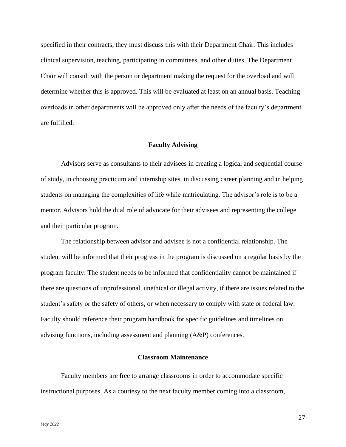specified in their contracts, they must discuss this with their Department Chair. This includes clinical supervision, teaching, participating in committees, and other duties. The Department Chair will consult with the person or department making the request for the overload and will determine whether this is approved. This will be evaluated at least on an annual basis. Teaching overloads in other departments will be approved only after the needs of the faculty's department are fulfilled.

#### **Faculty Advising**

<span id="page-27-0"></span>Advisors serve as consultants to their advisees in creating a logical and sequential course of study, in choosing practicum and internship sites, in discussing career planning and in helping students on managing the complexities of life while matriculating. The advisor's role is to be a mentor. Advisors hold the dual role of advocate for their advisees and representing the college and their particular program.

The relationship between advisor and advisee is not a confidential relationship. The student will be informed that their progress in the program is discussed on a regular basis by the program faculty. The student needs to be informed that confidentiality cannot be maintained if there are questions of unprofessional, unethical or illegal activity, if there are issues related to the student's safety or the safety of others, or when necessary to comply with state or federal law. Faculty should reference their program handbook for specific guidelines and timelines on advising functions, including assessment and planning (A&P) conferences.

## **Classroom Maintenance**

<span id="page-27-1"></span>Faculty members are free to arrange classrooms in order to accommodate specific instructional purposes. As a courtesy to the next faculty member coming into a classroom,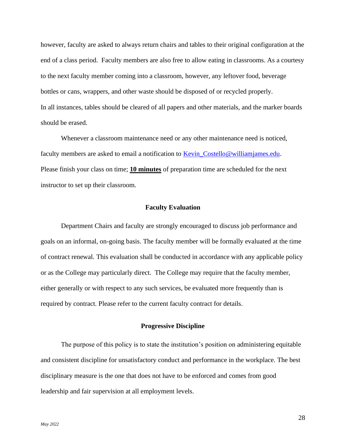however, faculty are asked to always return chairs and tables to their original configuration at the end of a class period. Faculty members are also free to allow eating in classrooms. As a courtesy to the next faculty member coming into a classroom, however, any leftover food, beverage bottles or cans, wrappers, and other waste should be disposed of or recycled properly. In all instances, tables should be cleared of all papers and other materials, and the marker boards should be erased.

Whenever a classroom maintenance need or any other maintenance need is noticed, faculty members are asked to email a notification to Kevin Costello@williamjames.edu. Please finish your class on time; **10 minutes** of preparation time are scheduled for the next instructor to set up their classroom.

#### **Faculty Evaluation**

<span id="page-28-0"></span>Department Chairs and faculty are strongly encouraged to discuss job performance and goals on an informal, on-going basis. The faculty member will be formally evaluated at the time of contract renewal. This evaluation shall be conducted in accordance with any applicable policy or as the College may particularly direct. The College may require that the faculty member, either generally or with respect to any such services, be evaluated more frequently than is required by contract. Please refer to the current faculty contract for details.

#### **Progressive Discipline**

<span id="page-28-1"></span>The purpose of this policy is to state the institution's position on administering equitable and consistent discipline for unsatisfactory conduct and performance in the workplace. The best disciplinary measure is the one that does not have to be enforced and comes from good leadership and fair supervision at all employment levels.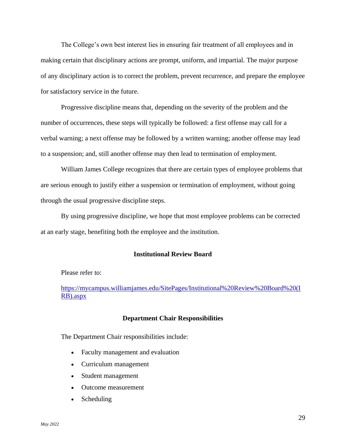The College's own best interest lies in ensuring fair treatment of all employees and in making certain that disciplinary actions are prompt, uniform, and impartial. The major purpose of any disciplinary action is to correct the problem, prevent recurrence, and prepare the employee for satisfactory service in the future.

Progressive discipline means that, depending on the severity of the problem and the number of occurrences, these steps will typically be followed: a first offense may call for a verbal warning; a next offense may be followed by a written warning; another offense may lead to a suspension; and, still another offense may then lead to termination of employment.

William James College recognizes that there are certain types of employee problems that are serious enough to justify either a suspension or termination of employment, without going through the usual progressive discipline steps.

<span id="page-29-0"></span>By using progressive discipline, we hope that most employee problems can be corrected at an early stage, benefiting both the employee and the institution.

## **Institutional Review Board**

Please refer to:

<span id="page-29-1"></span>[https://mycampus.williamjames.edu/SitePages/Institutional%20Review%20Board%20\(I](https://mycampus.williamjames.edu/SitePages/Institutional%20Review%20Board%20(IRB).aspx) [RB\).aspx](https://mycampus.williamjames.edu/SitePages/Institutional%20Review%20Board%20(IRB).aspx)

#### **Department Chair Responsibilities**

The Department Chair responsibilities include:

- Faculty management and evaluation
- Curriculum management
- Student management
- Outcome measurement
- Scheduling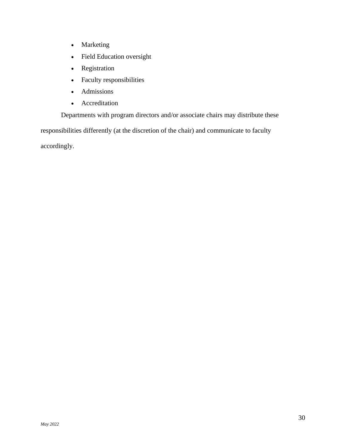- Marketing
- Field Education oversight
- Registration
- Faculty responsibilities
- Admissions
- Accreditation

Departments with program directors and/or associate chairs may distribute these responsibilities differently (at the discretion of the chair) and communicate to faculty accordingly.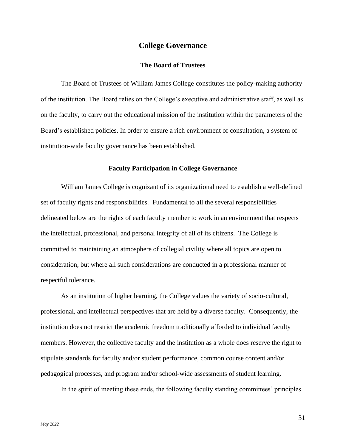## **College Governance**

## **The Board of Trustees**

<span id="page-31-1"></span><span id="page-31-0"></span>The Board of Trustees of William James College constitutes the policy-making authority of the institution. The Board relies on the College's executive and administrative staff, as well as on the faculty, to carry out the educational mission of the institution within the parameters of the Board's established policies. In order to ensure a rich environment of consultation, a system of institution-wide faculty governance has been established.

#### **Faculty Participation in College Governance**

<span id="page-31-2"></span>William James College is cognizant of its organizational need to establish a well-defined set of faculty rights and responsibilities. Fundamental to all the several responsibilities delineated below are the rights of each faculty member to work in an environment that respects the intellectual, professional, and personal integrity of all of its citizens. The College is committed to maintaining an atmosphere of collegial civility where all topics are open to consideration, but where all such considerations are conducted in a professional manner of respectful tolerance.

As an institution of higher learning, the College values the variety of socio-cultural, professional, and intellectual perspectives that are held by a diverse faculty. Consequently, the institution does not restrict the academic freedom traditionally afforded to individual faculty members. However, the collective faculty and the institution as a whole does reserve the right to stipulate standards for faculty and/or student performance, common course content and/or pedagogical processes, and program and/or school-wide assessments of student learning.

In the spirit of meeting these ends, the following faculty standing committees' principles

31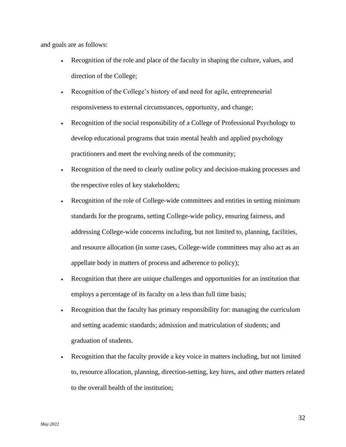and goals are as follows:

- Recognition of the role and place of the faculty in shaping the culture, values, and direction of the College;
- Recognition of the College's history of and need for agile, entrepreneurial responsiveness to external circumstances, opportunity, and change;
- Recognition of the social responsibility of a College of Professional Psychology to develop educational programs that train mental health and applied psychology practitioners and meet the evolving needs of the community;
- Recognition of the need to clearly outline policy and decision-making processes and the respective roles of key stakeholders;
- Recognition of the role of College-wide committees and entities in setting minimum standards for the programs, setting College-wide policy, ensuring fairness, and addressing College-wide concerns including, but not limited to, planning, facilities, and resource allocation (in some cases, College-wide committees may also act as an appellate body in matters of process and adherence to policy);
- Recognition that there are unique challenges and opportunities for an institution that employs a percentage of its faculty on a less than full time basis;
- Recognition that the faculty has primary responsibility for: managing the curriculum and setting academic standards; admission and matriculation of students; and graduation of students.
- Recognition that the faculty provide a key voice in matters including, but not limited to, resource allocation, planning, direction-setting, key hires, and other matters related to the overall health of the institution;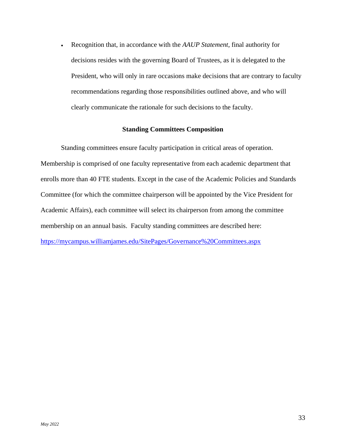• Recognition that, in accordance with the *AAUP Statement*, final authority for decisions resides with the governing Board of Trustees, as it is delegated to the President, who will only in rare occasions make decisions that are contrary to faculty recommendations regarding those responsibilities outlined above, and who will clearly communicate the rationale for such decisions to the faculty.

## **Standing Committees Composition**

<span id="page-33-0"></span>Standing committees ensure faculty participation in critical areas of operation. Membership is comprised of one faculty representative from each academic department that enrolls more than 40 FTE students. Except in the case of the Academic Policies and Standards Committee (for which the committee chairperson will be appointed by the Vice President for Academic Affairs), each committee will select its chairperson from among the committee membership on an annual basis. Faculty standing committees are described here: <https://mycampus.williamjames.edu/SitePages/Governance%20Committees.aspx>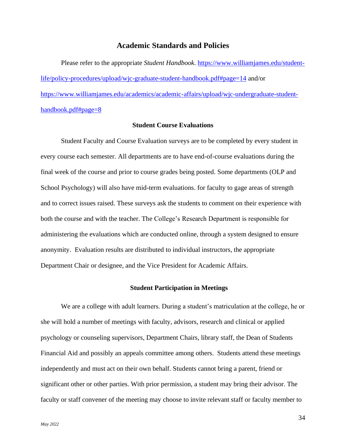## **Academic Standards and Policies**

<span id="page-34-0"></span>Please refer to the appropriate *Student Handbook*. [https://www.williamjames.edu/student](https://www.williamjames.edu/student-life/policy-procedures/upload/wjc-graduate-student-handbook.pdf#page=14)[life/policy-procedures/upload/wjc-graduate-student-handbook.pdf#page=14](https://www.williamjames.edu/student-life/policy-procedures/upload/wjc-graduate-student-handbook.pdf#page=14) and/or [https://www.williamjames.edu/academics/academic-affairs/upload/wjc-undergraduate-student](https://www.williamjames.edu/academics/academic-affairs/upload/wjc-undergraduate-student-handbook.pdf#page=8)[handbook.pdf#page=8](https://www.williamjames.edu/academics/academic-affairs/upload/wjc-undergraduate-student-handbook.pdf#page=8)

## **Student Course Evaluations**

<span id="page-34-1"></span>Student Faculty and Course Evaluation surveys are to be completed by every student in every course each semester. All departments are to have end-of-course evaluations during the final week of the course and prior to course grades being posted. Some departments (OLP and School Psychology) will also have mid-term evaluations. for faculty to gage areas of strength and to correct issues raised. These surveys ask the students to comment on their experience with both the course and with the teacher. The College's Research Department is responsible for administering the evaluations which are conducted online, through a system designed to ensure anonymity. Evaluation results are distributed to individual instructors, the appropriate Department Chair or designee, and the Vice President for Academic Affairs.

#### **Student Participation in Meetings**

<span id="page-34-2"></span>We are a college with adult learners. During a student's matriculation at the college, he or she will hold a number of meetings with faculty, advisors, research and clinical or applied psychology or counseling supervisors, Department Chairs, library staff, the Dean of Students Financial Aid and possibly an appeals committee among others. Students attend these meetings independently and must act on their own behalf. Students cannot bring a parent, friend or significant other or other parties. With prior permission, a student may bring their advisor. The faculty or staff convener of the meeting may choose to invite relevant staff or faculty member to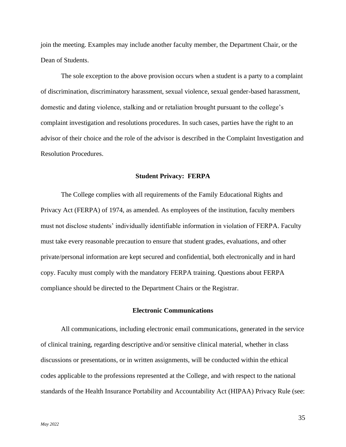join the meeting. Examples may include another faculty member, the Department Chair, or the Dean of Students.

The sole exception to the above provision occurs when a student is a party to a complaint of discrimination, discriminatory harassment, sexual violence, sexual gender-based harassment, domestic and dating violence, stalking and or retaliation brought pursuant to the college's complaint investigation and resolutions procedures. In such cases, parties have the right to an advisor of their choice and the role of the advisor is described in the Complaint Investigation and Resolution Procedures.

#### **Student Privacy: FERPA**

<span id="page-35-0"></span>The College complies with all requirements of the Family Educational Rights and Privacy Act (FERPA) of 1974, as amended. As employees of the institution, faculty members must not disclose students' individually identifiable information in violation of FERPA. Faculty must take every reasonable precaution to ensure that student grades, evaluations, and other private/personal information are kept secured and confidential, both electronically and in hard copy. Faculty must comply with the mandatory FERPA training. Questions about FERPA compliance should be directed to the Department Chairs or the Registrar.

## **Electronic Communications**

<span id="page-35-1"></span>All communications, including electronic email communications, generated in the service of clinical training, regarding descriptive and/or sensitive clinical material, whether in class discussions or presentations, or in written assignments, will be conducted within the ethical codes applicable to the professions represented at the College, and with respect to the national standards of the Health Insurance Portability and Accountability Act (HIPAA) Privacy Rule (see: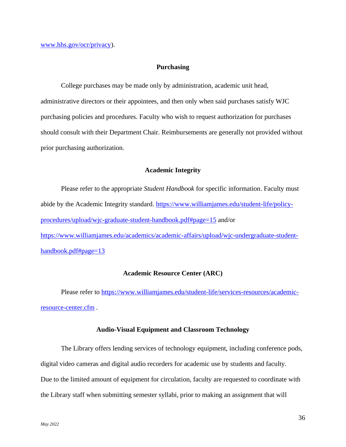#### **Purchasing**

<span id="page-36-0"></span>College purchases may be made only by administration, academic unit head, administrative directors or their appointees, and then only when said purchases satisfy WJC purchasing policies and procedures. Faculty who wish to request authorization for purchases should consult with their Department Chair. Reimbursements are generally not provided without prior purchasing authorization.

#### **Academic Integrity**

<span id="page-36-1"></span>Please refer to the appropriate *Student Handbook* for specific information. Faculty must abide by the Academic Integrity standard. [https://www.williamjames.edu/student-life/policy](https://www.williamjames.edu/student-life/policy-procedures/upload/wjc-graduate-student-handbook.pdf#page=15)[procedures/upload/wjc-graduate-student-handbook.pdf#page=15](https://www.williamjames.edu/student-life/policy-procedures/upload/wjc-graduate-student-handbook.pdf#page=15) and/or [https://www.williamjames.edu/academics/academic-affairs/upload/wjc-undergraduate-student](https://www.williamjames.edu/academics/academic-affairs/upload/wjc-undergraduate-student-handbook.pdf#page=13)[handbook.pdf#page=13](https://www.williamjames.edu/academics/academic-affairs/upload/wjc-undergraduate-student-handbook.pdf#page=13)

#### **Academic Resource Center (ARC)**

<span id="page-36-2"></span>Please refer to [https://www.williamjames.edu/student-life/services-resources/academic](https://www.williamjames.edu/student-life/services-resources/academic-resource-center.cfm)[resource-center.cfm](https://www.williamjames.edu/student-life/services-resources/academic-resource-center.cfm) *.* 

## **Audio-Visual Equipment and Classroom Technology**

<span id="page-36-3"></span>The Library offers lending services of technology equipment, including conference pods, digital video cameras and digital audio recorders for academic use by students and faculty. Due to the limited amount of equipment for circulation, faculty are requested to coordinate with the Library staff when submitting semester syllabi, prior to making an assignment that will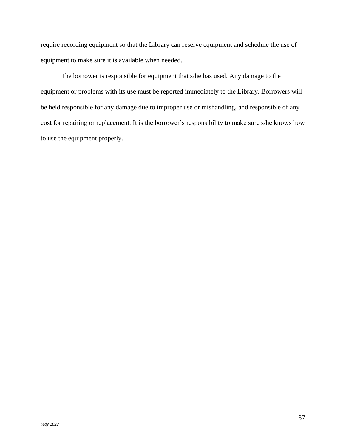require recording equipment so that the Library can reserve equipment and schedule the use of equipment to make sure it is available when needed.

The borrower is responsible for equipment that s/he has used. Any damage to the equipment or problems with its use must be reported immediately to the Library. Borrowers will be held responsible for any damage due to improper use or mishandling, and responsible of any cost for repairing or replacement. It is the borrower's responsibility to make sure s/he knows how to use the equipment properly.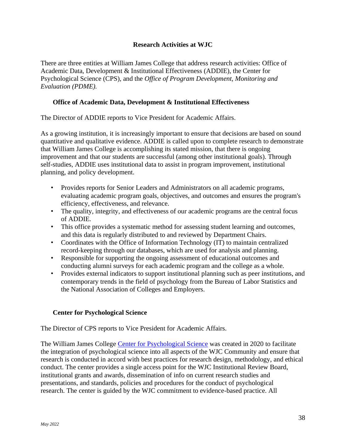## **Research Activities at WJC**

<span id="page-38-0"></span>There are three entities at William James College that address research activities: Office of Academic Data, Development & Institutional Effectiveness (ADDIE), the Center for Psychological Science (CPS), and the *Office of Program Development, Monitoring and Evaluation (PDME).* 

## <span id="page-38-1"></span>**Office of Academic Data, Development & Institutional Effectiveness**

The Director of ADDIE reports to Vice President for Academic Affairs.

As a growing institution, it is increasingly important to ensure that decisions are based on sound quantitative and qualitative evidence. ADDIE is called upon to complete research to demonstrate that William James College is accomplishing its stated mission, that there is ongoing improvement and that our students are successful (among other institutional goals). Through self-studies, ADDIE uses institutional data to assist in program improvement, institutional planning, and policy development.

- Provides reports for Senior Leaders and Administrators on all academic programs, evaluating academic program goals, objectives, and outcomes and ensures the program's efficiency, effectiveness, and relevance.
- The quality, integrity, and effectiveness of our academic programs are the central focus of ADDIE.
- This office provides a systematic method for assessing student learning and outcomes, and this data is regularly distributed to and reviewed by Department Chairs.
- Coordinates with the Office of Information Technology (IT) to maintain centralized record-keeping through our databases, which are used for analysis and planning.
- Responsible for supporting the ongoing assessment of educational outcomes and conducting alumni surveys for each academic program and the college as a whole.
- Provides external indicators to support institutional planning such as peer institutions, and contemporary trends in the field of psychology from the Bureau of Labor Statistics and the National Association of Colleges and Employers.

## <span id="page-38-2"></span>**Center for Psychological Science**

The Director of CPS reports to Vice President for Academic Affairs.

The William James College [Center for Psychological Science](https://msppedu.sharepoint.com/sites/CenterforPsychologicalScience/SitePages/Research%20Policies,%20Standards%20%26%20Procedures.aspx) was created in 2020 to facilitate the integration of psychological science into all aspects of the WJC Community and ensure that research is conducted in accord with best practices for research design, methodology, and ethical conduct. The center provides a single access point for the WJC Institutional Review Board, institutional grants and awards, dissemination of info on current research studies and presentations, and standards, policies and procedures for the conduct of psychological research. The center is guided by the WJC commitment to evidence-based practice. All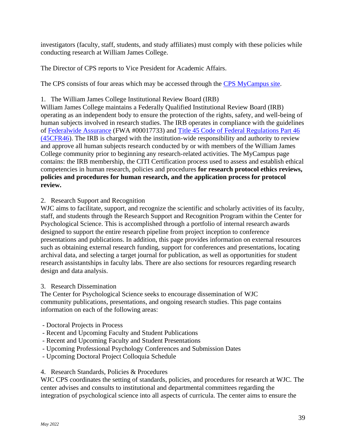investigators (faculty, staff, students, and study affiliates) must comply with these policies while conducting research at William James College.

The Director of CPS reports to Vice President for Academic Affairs.

The CPS consists of four areas which may be accessed through the [CPS MyCampus site.](https://msppedu.sharepoint.com/sites/CenterforPsychologicalScience/SitePages/Research%20Policies,%20Standards%20%26%20Procedures.aspx)

## 1. The William James College Institutional Review Board (IRB)

William James College maintains a Federally Qualified Institutional Review Board (IRB) operating as an independent body to ensure the protection of the rights, safety, and well-being of human subjects involved in research studies. The IRB operates in compliance with the guidelines of [Federalwide](https://www.hhs.gov/ohrp/register-irbs-and-obtain-fwas/fwas/index.html) Assurance (FWA #00017733) and [Title 45 Code of Federal Regulations Part 46](https://www.hhs.gov/ohrp/regulations-and-policy/regulations/45-cfr-46/index.html)  [\(45CFR46\)](https://www.hhs.gov/ohrp/regulations-and-policy/regulations/45-cfr-46/index.html). The IRB is charged with the institution-wide responsibility and authority to review and approve all human subjects research conducted by or with members of the William James College community prior to beginning any research-related activities. The MyCampus page contains: the IRB membership, the CITI Certification process used to assess and establish ethical competencies in human research, policies and procedures **for research protocol ethics reviews, policies and procedures for human research, and the application process for protocol review.** 

## 2. Research Support and Recognition

WJC aims to facilitate, support, and recognize the scientific and scholarly activities of its faculty, staff, and students through the Research Support and Recognition Program within the Center for Psychological Science. This is accomplished through a portfolio of internal research awards designed to support the entire research pipeline from project inception to conference presentations and publications. In addition, this page provides information on external resources such as obtaining external research funding, support for conferences and presentations, locating archival data, and selecting a target journal for publication, as well as opportunities for student research assistantships in faculty labs. There are also sections for resources regarding research design and data analysis.

## 3. Research Dissemination

The Center for Psychological Science seeks to encourage dissemination of WJC community publications, presentations, and ongoing research studies. This page contains information on each of the following areas:

- Doctoral Projects in Process
- Recent and Upcoming Faculty and Student Publications
- Recent and Upcoming Faculty and Student Presentations
- Upcoming Professional Psychology Conferences and Submission Dates
- Upcoming Doctoral Project Colloquia Schedule

## 4. Research Standards, Policies & Procedures

WJC CPS coordinates the setting of standards, policies, and procedures for research at WJC. The center advises and consults to institutional and departmental committees regarding the integration of psychological science into all aspects of curricula. The center aims to ensure the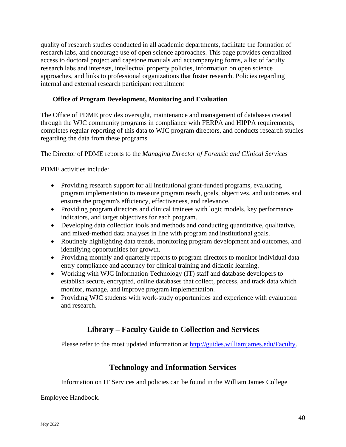quality of research studies conducted in all academic departments, facilitate the formation of research labs, and encourage use of open science approaches. This page provides centralized access to doctoral project and capstone manuals and accompanying forms, a list of faculty research labs and interests, intellectual property policies, information on open science approaches, and links to professional organizations that foster research. Policies regarding internal and external research participant recruitment

## <span id="page-40-0"></span>**Office of Program Development, Monitoring and Evaluation**

The Office of PDME provides oversight, maintenance and management of databases created through the WJC community programs in compliance with FERPA and HIPPA requirements, completes regular reporting of this data to WJC program directors, and conducts research studies regarding the data from these programs.

The Director of PDME reports to the *Managing Director of Forensic and Clinical Services*

PDME activities include:

- Providing research support for all institutional grant-funded programs, evaluating program implementation to measure program reach, goals, objectives, and outcomes and ensures the program's efficiency, effectiveness, and relevance.
- Providing program directors and clinical trainees with logic models, key performance indicators, and target objectives for each program.
- Developing data collection tools and methods and conducting quantitative, qualitative, and mixed-method data analyses in line with program and institutional goals.
- Routinely highlighting data trends, monitoring program development and outcomes, and identifying opportunities for growth.
- Providing monthly and quarterly reports to program directors to monitor individual data entry compliance and accuracy for clinical training and didactic learning.
- Working with WJC Information Technology (IT) staff and database developers to establish secure, encrypted, online databases that collect, process, and track data which monitor, manage, and improve program implementation.
- <span id="page-40-1"></span>• Providing WJC students with work-study opportunities and experience with evaluation and research.

# **Library – Faculty Guide to Collection and Services**

<span id="page-40-2"></span>Please refer to the most updated information at [http://guides.williamjames.edu/Faculty.](http://guides.williamjames.edu/Faculty)

## **Technology and Information Services**

Information on IT Services and policies can be found in the William James College

Employee Handbook.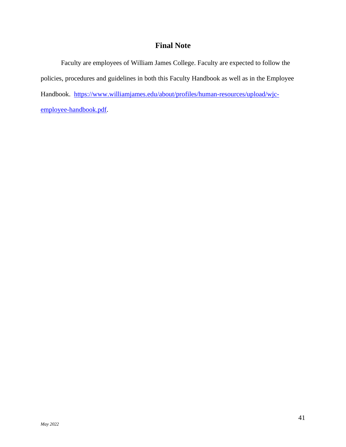# **Final Note**

<span id="page-41-0"></span>Faculty are employees of William James College. Faculty are expected to follow the policies, procedures and guidelines in both this Faculty Handbook as well as in the Employee Handbook. [https://www.williamjames.edu/about/profiles/human-resources/upload/wjc](https://www.williamjames.edu/about/profiles/human-resources/upload/wjc-employee-handbook.pdf)[employee-handbook.pdf.](https://www.williamjames.edu/about/profiles/human-resources/upload/wjc-employee-handbook.pdf)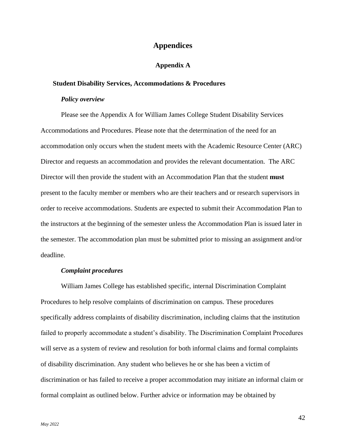## **Appendices**

## **Appendix A**

#### <span id="page-42-2"></span><span id="page-42-1"></span><span id="page-42-0"></span>**Student Disability Services, Accommodations & Procedures**

## *Policy overview*

<span id="page-42-3"></span>Please see the Appendix A for William James College Student Disability Services Accommodations and Procedures. Please note that the determination of the need for an accommodation only occurs when the student meets with the Academic Resource Center (ARC) Director and requests an accommodation and provides the relevant documentation. The ARC Director will then provide the student with an Accommodation Plan that the student **must** present to the faculty member or members who are their teachers and or research supervisors in order to receive accommodations. Students are expected to submit their Accommodation Plan to the instructors at the beginning of the semester unless the Accommodation Plan is issued later in the semester. The accommodation plan must be submitted prior to missing an assignment and/or deadline.

## *Complaint procedures*

<span id="page-42-4"></span>William James College has established specific, internal Discrimination Complaint Procedures to help resolve complaints of discrimination on campus. These procedures specifically address complaints of disability discrimination, including claims that the institution failed to properly accommodate a student's disability. The Discrimination Complaint Procedures will serve as a system of review and resolution for both informal claims and formal complaints of disability discrimination. Any student who believes he or she has been a victim of discrimination or has failed to receive a proper accommodation may initiate an informal claim or formal complaint as outlined below. Further advice or information may be obtained by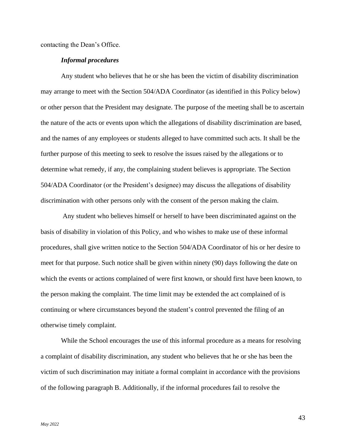<span id="page-43-0"></span>contacting the Dean's Office.

## *Informal procedures*

Any student who believes that he or she has been the victim of disability discrimination may arrange to meet with the Section 504/ADA Coordinator (as identified in this Policy below) or other person that the President may designate. The purpose of the meeting shall be to ascertain the nature of the acts or events upon which the allegations of disability discrimination are based, and the names of any employees or students alleged to have committed such acts. It shall be the further purpose of this meeting to seek to resolve the issues raised by the allegations or to determine what remedy, if any, the complaining student believes is appropriate. The Section 504/ADA Coordinator (or the President's designee) may discuss the allegations of disability discrimination with other persons only with the consent of the person making the claim.

Any student who believes himself or herself to have been discriminated against on the basis of disability in violation of this Policy, and who wishes to make use of these informal procedures, shall give written notice to the Section 504/ADA Coordinator of his or her desire to meet for that purpose. Such notice shall be given within ninety (90) days following the date on which the events or actions complained of were first known, or should first have been known, to the person making the complaint. The time limit may be extended the act complained of is continuing or where circumstances beyond the student's control prevented the filing of an otherwise timely complaint.

While the School encourages the use of this informal procedure as a means for resolving a complaint of disability discrimination, any student who believes that he or she has been the victim of such discrimination may initiate a formal complaint in accordance with the provisions of the following paragraph B. Additionally, if the informal procedures fail to resolve the

43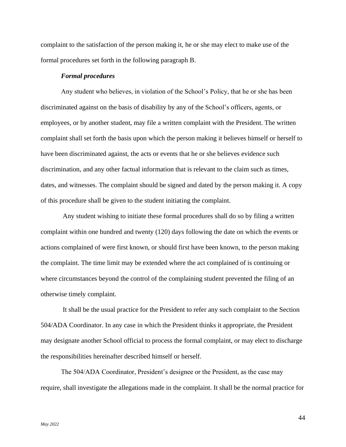complaint to the satisfaction of the person making it, he or she may elect to make use of the formal procedures set forth in the following paragraph B.

#### *Formal procedures*

<span id="page-44-0"></span>Any student who believes, in violation of the School's Policy, that he or she has been discriminated against on the basis of disability by any of the School's officers, agents, or employees, or by another student, may file a written complaint with the President. The written complaint shall set forth the basis upon which the person making it believes himself or herself to have been discriminated against, the acts or events that he or she believes evidence such discrimination, and any other factual information that is relevant to the claim such as times, dates, and witnesses. The complaint should be signed and dated by the person making it. A copy of this procedure shall be given to the student initiating the complaint.

Any student wishing to initiate these formal procedures shall do so by filing a written complaint within one hundred and twenty (120) days following the date on which the events or actions complained of were first known, or should first have been known, to the person making the complaint. The time limit may be extended where the act complained of is continuing or where circumstances beyond the control of the complaining student prevented the filing of an otherwise timely complaint.

It shall be the usual practice for the President to refer any such complaint to the Section 504/ADA Coordinator. In any case in which the President thinks it appropriate, the President may designate another School official to process the formal complaint, or may elect to discharge the responsibilities hereinafter described himself or herself.

The 504/ADA Coordinator, President's designee or the President, as the case may require, shall investigate the allegations made in the complaint. It shall be the normal practice for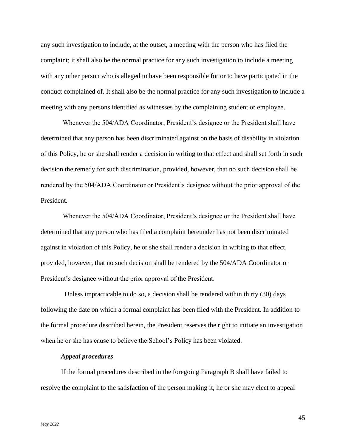any such investigation to include, at the outset, a meeting with the person who has filed the complaint; it shall also be the normal practice for any such investigation to include a meeting with any other person who is alleged to have been responsible for or to have participated in the conduct complained of. It shall also be the normal practice for any such investigation to include a meeting with any persons identified as witnesses by the complaining student or employee.

Whenever the 504/ADA Coordinator, President's designee or the President shall have determined that any person has been discriminated against on the basis of disability in violation of this Policy, he or she shall render a decision in writing to that effect and shall set forth in such decision the remedy for such discrimination, provided, however, that no such decision shall be rendered by the 504/ADA Coordinator or President's designee without the prior approval of the President.

Whenever the 504/ADA Coordinator, President's designee or the President shall have determined that any person who has filed a complaint hereunder has not been discriminated against in violation of this Policy, he or she shall render a decision in writing to that effect, provided, however, that no such decision shall be rendered by the 504/ADA Coordinator or President's designee without the prior approval of the President.

 Unless impracticable to do so, a decision shall be rendered within thirty (30) days following the date on which a formal complaint has been filed with the President. In addition to the formal procedure described herein, the President reserves the right to initiate an investigation when he or she has cause to believe the School's Policy has been violated.

## *Appeal procedures*

<span id="page-45-0"></span>If the formal procedures described in the foregoing Paragraph B shall have failed to resolve the complaint to the satisfaction of the person making it, he or she may elect to appeal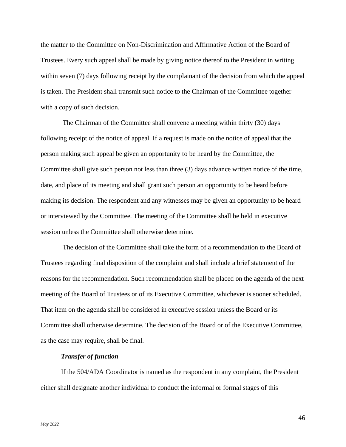the matter to the Committee on Non-Discrimination and Affirmative Action of the Board of Trustees. Every such appeal shall be made by giving notice thereof to the President in writing within seven (7) days following receipt by the complainant of the decision from which the appeal is taken. The President shall transmit such notice to the Chairman of the Committee together with a copy of such decision.

The Chairman of the Committee shall convene a meeting within thirty (30) days following receipt of the notice of appeal. If a request is made on the notice of appeal that the person making such appeal be given an opportunity to be heard by the Committee, the Committee shall give such person not less than three (3) days advance written notice of the time, date, and place of its meeting and shall grant such person an opportunity to be heard before making its decision. The respondent and any witnesses may be given an opportunity to be heard or interviewed by the Committee. The meeting of the Committee shall be held in executive session unless the Committee shall otherwise determine.

The decision of the Committee shall take the form of a recommendation to the Board of Trustees regarding final disposition of the complaint and shall include a brief statement of the reasons for the recommendation. Such recommendation shall be placed on the agenda of the next meeting of the Board of Trustees or of its Executive Committee, whichever is sooner scheduled. That item on the agenda shall be considered in executive session unless the Board or its Committee shall otherwise determine. The decision of the Board or of the Executive Committee, as the case may require, shall be final.

#### *Transfer of function*

<span id="page-46-0"></span>If the 504/ADA Coordinator is named as the respondent in any complaint, the President either shall designate another individual to conduct the informal or formal stages of this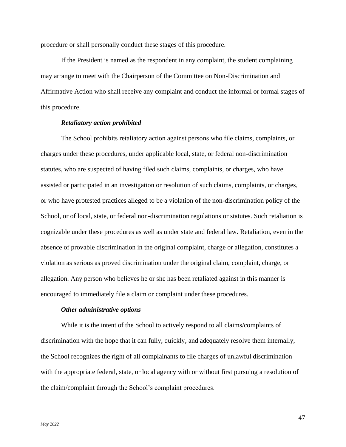procedure or shall personally conduct these stages of this procedure.

If the President is named as the respondent in any complaint, the student complaining may arrange to meet with the Chairperson of the Committee on Non-Discrimination and Affirmative Action who shall receive any complaint and conduct the informal or formal stages of this procedure.

## *Retaliatory action prohibited*

<span id="page-47-0"></span>The School prohibits retaliatory action against persons who file claims, complaints, or charges under these procedures, under applicable local, state, or federal non-discrimination statutes, who are suspected of having filed such claims, complaints, or charges, who have assisted or participated in an investigation or resolution of such claims, complaints, or charges, or who have protested practices alleged to be a violation of the non-discrimination policy of the School, or of local, state, or federal non-discrimination regulations or statutes. Such retaliation is cognizable under these procedures as well as under state and federal law. Retaliation, even in the absence of provable discrimination in the original complaint, charge or allegation, constitutes a violation as serious as proved discrimination under the original claim, complaint, charge, or allegation. Any person who believes he or she has been retaliated against in this manner is encouraged to immediately file a claim or complaint under these procedures.

#### *Other administrative options*

<span id="page-47-1"></span>While it is the intent of the School to actively respond to all claims/complaints of discrimination with the hope that it can fully, quickly, and adequately resolve them internally, the School recognizes the right of all complainants to file charges of unlawful discrimination with the appropriate federal, state, or local agency with or without first pursuing a resolution of the claim/complaint through the School's complaint procedures.

47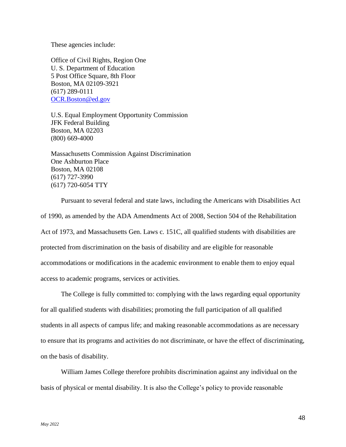These agencies include:

Office of Civil Rights, Region One U. S. Department of Education 5 Post Office Square, 8th Floor Boston, MA 02109-3921 (617) 289-0111 [OCR.Boston@ed.gov](mailto:OCR.Boston@ed.gov)

U.S. Equal Employment Opportunity Commission JFK Federal Building Boston, MA 02203 (800) 669-4000

Massachusetts Commission Against Discrimination One Ashburton Place Boston, MA 02108 (617) 727-3990 (617) 720-6054 TTY

Pursuant to several federal and state laws, including the Americans with Disabilities Act of 1990, as amended by the ADA Amendments Act of 2008, Section 504 of the Rehabilitation Act of 1973, and Massachusetts Gen. Laws c. 151C, all qualified students with disabilities are protected from discrimination on the basis of disability and are eligible for reasonable accommodations or modifications in the academic environment to enable them to enjoy equal access to academic programs, services or activities.

The College is fully committed to: complying with the laws regarding equal opportunity for all qualified students with disabilities; promoting the full participation of all qualified students in all aspects of campus life; and making reasonable accommodations as are necessary to ensure that its programs and activities do not discriminate, or have the effect of discriminating, on the basis of disability.

William James College therefore prohibits discrimination against any individual on the basis of physical or mental disability. It is also the College's policy to provide reasonable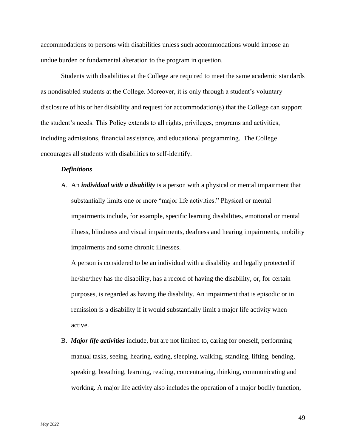accommodations to persons with disabilities unless such accommodations would impose an undue burden or fundamental alteration to the program in question.

Students with disabilities at the College are required to meet the same academic standards as nondisabled students at the College. Moreover, it is only through a student's voluntary disclosure of his or her disability and request for accommodation(s) that the College can support the student's needs. This Policy extends to all rights, privileges, programs and activities, including admissions, financial assistance, and educational programming. The College encourages all students with disabilities to self-identify.

## <span id="page-49-0"></span>*Definitions*

A. An *individual with a disability* is a person with a physical or mental impairment that substantially limits one or more "major life activities." Physical or mental impairments include, for example, specific learning disabilities, emotional or mental illness, blindness and visual impairments, deafness and hearing impairments, mobility impairments and some chronic illnesses.

A person is considered to be an individual with a disability and legally protected if he/she/they has the disability, has a record of having the disability, or, for certain purposes, is regarded as having the disability. An impairment that is episodic or in remission is a disability if it would substantially limit a major life activity when active.

B. *Major life activities* include, but are not limited to, caring for oneself, performing manual tasks, seeing, hearing, eating, sleeping, walking, standing, lifting, bending, speaking, breathing, learning, reading, concentrating, thinking, communicating and working. A major life activity also includes the operation of a major bodily function,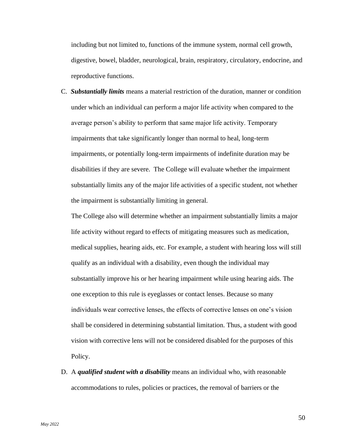including but not limited to, functions of the immune system, normal cell growth, digestive, bowel, bladder, neurological, brain, respiratory, circulatory, endocrine, and reproductive functions.

C. *Substantially limits* means a material restriction of the duration, manner or condition under which an individual can perform a major life activity when compared to the average person's ability to perform that same major life activity. Temporary impairments that take significantly longer than normal to heal, long-term impairments, or potentially long-term impairments of indefinite duration may be disabilities if they are severe. The College will evaluate whether the impairment substantially limits any of the major life activities of a specific student, not whether the impairment is substantially limiting in general.

The College also will determine whether an impairment substantially limits a major life activity without regard to effects of mitigating measures such as medication, medical supplies, hearing aids, etc. For example, a student with hearing loss will still qualify as an individual with a disability, even though the individual may substantially improve his or her hearing impairment while using hearing aids. The one exception to this rule is eyeglasses or contact lenses. Because so many individuals wear corrective lenses, the effects of corrective lenses on one's vision shall be considered in determining substantial limitation. Thus, a student with good vision with corrective lens will not be considered disabled for the purposes of this Policy.

D. A *qualified student with a disability* means an individual who, with reasonable accommodations to rules, policies or practices, the removal of barriers or the

50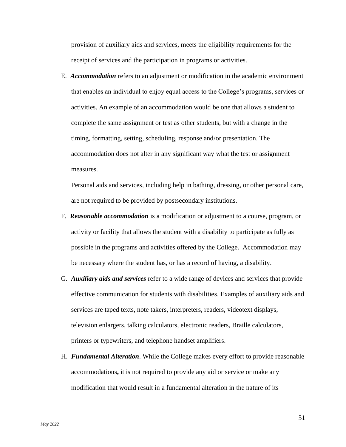provision of auxiliary aids and services, meets the eligibility requirements for the receipt of services and the participation in programs or activities.

E. *Accommodation* refers to an adjustment or modification in the academic environment that enables an individual to enjoy equal access to the College's programs, services or activities. An example of an accommodation would be one that allows a student to complete the same assignment or test as other students, but with a change in the timing, formatting, setting, scheduling, response and/or presentation. The accommodation does not alter in any significant way what the test or assignment measures.

Personal aids and services, including help in bathing, dressing, or other personal care, are not required to be provided by postsecondary institutions.

- F. *Reasonable accommodation* is a modification or adjustment to a course, program, or activity or facility that allows the student with a disability to participate as fully as possible in the programs and activities offered by the College. Accommodation may be necessary where the student has, or has a record of having, a disability.
- G. *Auxiliary aids and services* refer to a wide range of devices and services that provide effective communication for students with disabilities. Examples of auxiliary aids and services are taped texts, note takers, interpreters, readers, videotext displays, television enlargers, talking calculators, electronic readers, Braille calculators, printers or typewriters, and telephone handset amplifiers.
- H. *Fundamental Alteration*. While the College makes every effort to provide reasonable accommodations**,** it is not required to provide any aid or service or make any modification that would result in a fundamental alteration in the nature of its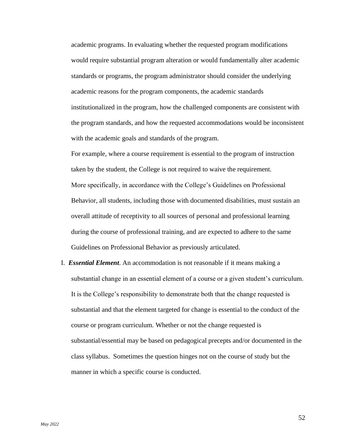academic programs. In evaluating whether the requested program modifications would require substantial program alteration or would fundamentally alter academic standards or programs, the program administrator should consider the underlying academic reasons for the program components, the academic standards institutionalized in the program, how the challenged components are consistent with the program standards, and how the requested accommodations would be inconsistent with the academic goals and standards of the program.

For example, where a course requirement is essential to the program of instruction taken by the student, the College is not required to waive the requirement. More specifically, in accordance with the College's Guidelines on Professional Behavior, all students, including those with documented disabilities, must sustain an overall attitude of receptivity to all sources of personal and professional learning during the course of professional training, and are expected to adhere to the same Guidelines on Professional Behavior as previously articulated.

I. *Essential Element*. An accommodation is not reasonable if it means making a substantial change in an essential element of a course or a given student's curriculum. It is the College's responsibility to demonstrate both that the change requested is substantial and that the element targeted for change is essential to the conduct of the course or program curriculum. Whether or not the change requested is substantial/essential may be based on pedagogical precepts and/or documented in the class syllabus. Sometimes the question hinges not on the course of study but the manner in which a specific course is conducted.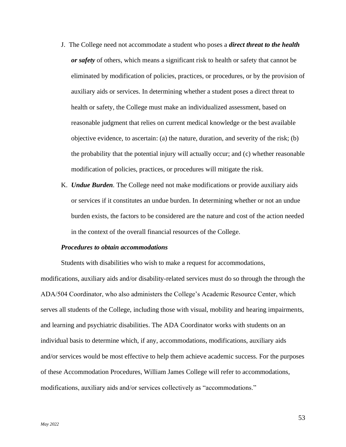- J. The College need not accommodate a student who poses a *direct threat to the health or safety* of others, which means a significant risk to health or safety that cannot be eliminated by modification of policies, practices, or procedures, or by the provision of auxiliary aids or services. In determining whether a student poses a direct threat to health or safety, the College must make an individualized assessment, based on reasonable judgment that relies on current medical knowledge or the best available objective evidence, to ascertain: (a) the nature, duration, and severity of the risk; (b) the probability that the potential injury will actually occur; and (c) whether reasonable modification of policies, practices, or procedures will mitigate the risk.
- K. *Undue Burden.* The College need not make modifications or provide auxiliary aids or services if it constitutes an undue burden. In determining whether or not an undue burden exists, the factors to be considered are the nature and cost of the action needed in the context of the overall financial resources of the College.

#### *Procedures to obtain accommodations*

<span id="page-53-0"></span>Students with disabilities who wish to make a request for accommodations, modifications, auxiliary aids and/or disability-related services must do so through the through the ADA/504 Coordinator, who also administers the College's Academic Resource Center, which serves all students of the College, including those with visual, mobility and hearing impairments, and learning and psychiatric disabilities. The ADA Coordinator works with students on an individual basis to determine which, if any, accommodations, modifications, auxiliary aids and/or services would be most effective to help them achieve academic success. For the purposes of these Accommodation Procedures, William James College will refer to accommodations, modifications, auxiliary aids and/or services collectively as "accommodations."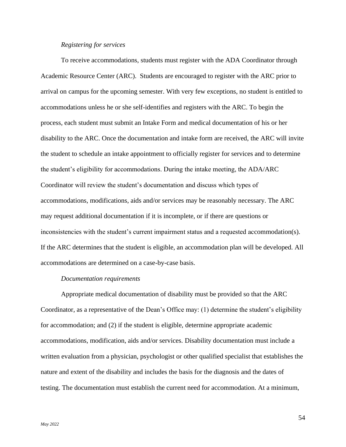#### *Registering for services*

<span id="page-54-0"></span>To receive accommodations, students must register with the ADA Coordinator through Academic Resource Center (ARC). Students are encouraged to register with the ARC prior to arrival on campus for the upcoming semester. With very few exceptions, no student is entitled to accommodations unless he or she self-identifies and registers with the ARC. To begin the process, each student must submit an Intake Form and medical documentation of his or her disability to the ARC. Once the documentation and intake form are received, the ARC will invite the student to schedule an intake appointment to officially register for services and to determine the student's eligibility for accommodations. During the intake meeting, the ADA/ARC Coordinator will review the student's documentation and discuss which types of accommodations, modifications, aids and/or services may be reasonably necessary. The ARC may request additional documentation if it is incomplete, or if there are questions or inconsistencies with the student's current impairment status and a requested accommodation(s). If the ARC determines that the student is eligible, an accommodation plan will be developed. All accommodations are determined on a case-by-case basis.

#### *Documentation requirements*

<span id="page-54-1"></span>Appropriate medical documentation of disability must be provided so that the ARC Coordinator, as a representative of the Dean's Office may: (1) determine the student's eligibility for accommodation; and (2) if the student is eligible, determine appropriate academic accommodations, modification, aids and/or services. Disability documentation must include a written evaluation from a physician, psychologist or other qualified specialist that establishes the nature and extent of the disability and includes the basis for the diagnosis and the dates of testing. The documentation must establish the current need for accommodation. At a minimum,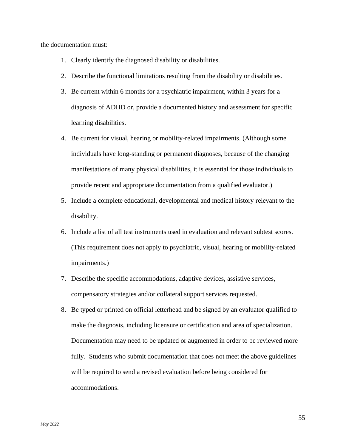the documentation must:

- 1. Clearly identify the diagnosed disability or disabilities.
- 2. Describe the functional limitations resulting from the disability or disabilities.
- 3. Be current within 6 months for a psychiatric impairment, within 3 years for a diagnosis of ADHD or, provide a documented history and assessment for specific learning disabilities.
- 4. Be current for visual, hearing or mobility-related impairments. (Although some individuals have long-standing or permanent diagnoses, because of the changing manifestations of many physical disabilities, it is essential for those individuals to provide recent and appropriate documentation from a qualified evaluator.)
- 5. Include a complete educational, developmental and medical history relevant to the disability.
- 6. Include a list of all test instruments used in evaluation and relevant subtest scores. (This requirement does not apply to psychiatric, visual, hearing or mobility-related impairments.)
- 7. Describe the specific accommodations, adaptive devices, assistive services, compensatory strategies and/or collateral support services requested.
- 8. Be typed or printed on official letterhead and be signed by an evaluator qualified to make the diagnosis, including licensure or certification and area of specialization. Documentation may need to be updated or augmented in order to be reviewed more fully. Students who submit documentation that does not meet the above guidelines will be required to send a revised evaluation before being considered for accommodations.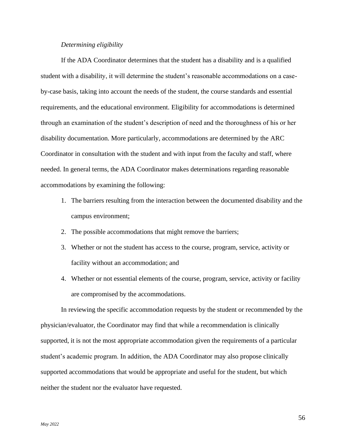#### *Determining eligibility*

<span id="page-56-0"></span>If the ADA Coordinator determines that the student has a disability and is a qualified student with a disability, it will determine the student's reasonable accommodations on a caseby-case basis, taking into account the needs of the student, the course standards and essential requirements, and the educational environment. Eligibility for accommodations is determined through an examination of the student's description of need and the thoroughness of his or her disability documentation. More particularly, accommodations are determined by the ARC Coordinator in consultation with the student and with input from the faculty and staff, where needed. In general terms, the ADA Coordinator makes determinations regarding reasonable accommodations by examining the following:

- 1. The barriers resulting from the interaction between the documented disability and the campus environment;
- 2. The possible accommodations that might remove the barriers;
- 3. Whether or not the student has access to the course, program, service, activity or facility without an accommodation; and
- 4. Whether or not essential elements of the course, program, service, activity or facility are compromised by the accommodations.

In reviewing the specific accommodation requests by the student or recommended by the physician/evaluator, the Coordinator may find that while a recommendation is clinically supported, it is not the most appropriate accommodation given the requirements of a particular student's academic program. In addition, the ADA Coordinator may also propose clinically supported accommodations that would be appropriate and useful for the student, but which neither the student nor the evaluator have requested.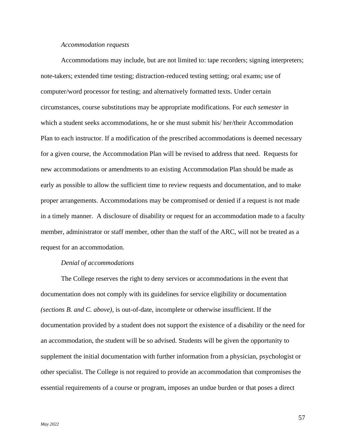#### *Accommodation requests*

<span id="page-57-0"></span>Accommodations may include, but are not limited to: tape recorders; signing interpreters; note-takers; extended time testing; distraction-reduced testing setting; oral exams; use of computer/word processor for testing; and alternatively formatted texts. Under certain circumstances, course substitutions may be appropriate modifications. For *each semester* in which a student seeks accommodations, he or she must submit his/ her/their Accommodation Plan to each instructor. If a modification of the prescribed accommodations is deemed necessary for a given course, the Accommodation Plan will be revised to address that need. Requests for new accommodations or amendments to an existing Accommodation Plan should be made as early as possible to allow the sufficient time to review requests and documentation, and to make proper arrangements. Accommodations may be compromised or denied if a request is not made in a timely manner. A disclosure of disability or request for an accommodation made to a faculty member, administrator or staff member, other than the staff of the ARC, will not be treated as a request for an accommodation.

#### *Denial of accommodations*

<span id="page-57-1"></span>The College reserves the right to deny services or accommodations in the event that documentation does not comply with its guidelines for service eligibility or documentation *(sections B. and C. above)*, is out-of-date, incomplete or otherwise insufficient. If the documentation provided by a student does not support the existence of a disability or the need for an accommodation, the student will be so advised. Students will be given the opportunity to supplement the initial documentation with further information from a physician, psychologist or other specialist. The College is not required to provide an accommodation that compromises the essential requirements of a course or program, imposes an undue burden or that poses a direct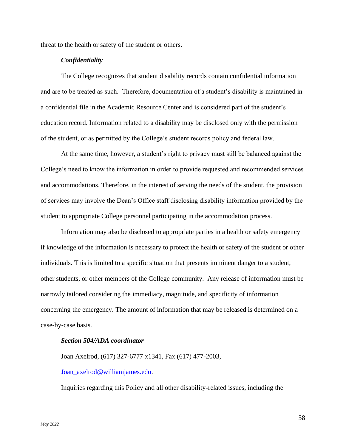<span id="page-58-0"></span>threat to the health or safety of the student or others.

## *Confidentiality*

The College recognizes that student disability records contain confidential information and are to be treated as such. Therefore, documentation of a student's disability is maintained in a confidential file in the Academic Resource Center and is considered part of the student's education record. Information related to a disability may be disclosed only with the permission of the student, or as permitted by the College's student records policy and federal law.

At the same time, however, a student's right to privacy must still be balanced against the College's need to know the information in order to provide requested and recommended services and accommodations. Therefore, in the interest of serving the needs of the student, the provision of services may involve the Dean's Office staff disclosing disability information provided by the student to appropriate College personnel participating in the accommodation process.

Information may also be disclosed to appropriate parties in a health or safety emergency if knowledge of the information is necessary to protect the health or safety of the student or other individuals. This is limited to a specific situation that presents imminent danger to a student, other students, or other members of the College community. Any release of information must be narrowly tailored considering the immediacy, magnitude, and specificity of information concerning the emergency. The amount of information that may be released is determined on a case-by-case basis.

## <span id="page-58-1"></span>*Section 504/ADA coordinator*

Joan Axelrod, (617) 327-6777 x1341, Fax (617) 477-2003,

## [Joan\\_axelrod@williamjames.edu.](mailto:Joan_axelrod@williamjames.edu)

Inquiries regarding this Policy and all other disability-related issues, including the